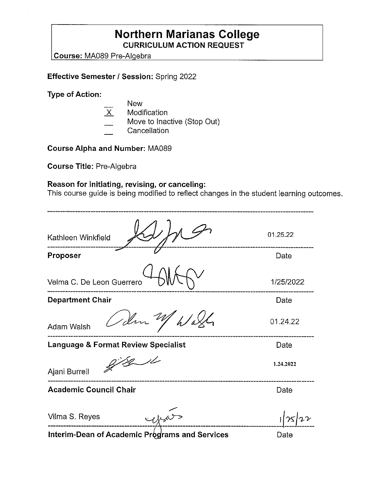## **Northern Marianas College CURRICULUM ACTION REQUEST**

Course: MA089 Pre-Algebra

## **Effective Semester I Session:** Spring 2022

**Type of Action:** 

- New
- .X Modification
- Move to Inactive (Stop Out)
- **Cancellation**

**Course Alpha and Number:** MA089

**Course Title:** Pre-Algebra

## **Reason for initiating, revising, or canceling:**

This course guide is being modified to reflect changes in the student learning outcomes.

| Kathleen Winkfield                                    | 01.25.22  |
|-------------------------------------------------------|-----------|
| Proposer                                              | Date      |
| Velma C. De Leon Guerrero                             | 1/25/2022 |
| <b>Department Chair</b>                               | Date      |
| Idm W<br><b>Adam Walsh</b>                            | 01.24.22  |
| <b>Language &amp; Format Review Specialist</b>        | Date      |
| Ajani Burrell                                         | 1.24.2022 |
| <b>Academic Council Chair</b>                         | Date      |
| Vilma S. Reyes                                        |           |
| <b>Interim-Dean of Academic Programs and Services</b> | Date      |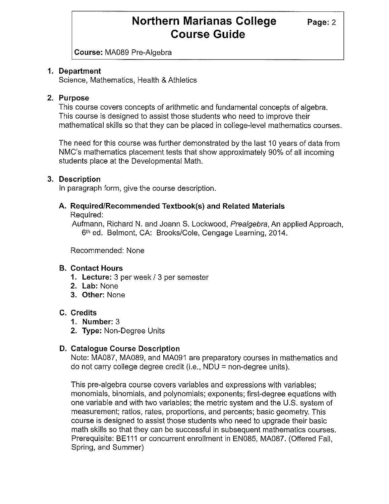**Course:** MA089 Pre-Algebra

## **1. Department**

Science, Mathematics, Health & Athletics

## **2. Purpose**

This course covers concepts of arithmetic and fundamental concepts of algebra. This course is designed to assist those students who need to improve their mathematical skills so that they can be placed in college-level mathematics courses.

The need for this course was further demonstrated by the last 10 years of data from NMC's mathematics placement tests that show approximately 90% of all incoming students place at the Developmental Math.

## **3. Description**

In paragraph form, give the course description.

# **A. Required/Recommended Textbook(s) and Related Materials**

Required:

Aufmann, Richard N. and Joann S. Lockwood, Prealgebra, An applied Approach, 6<sup>th</sup> ed. Belmont, CA: Brooks/Cole, Cengage Learning, 2014.

Recommended: None

## **B. Contact Hours**

- **1. Lecture:** 3 per week/ 3 per semester
- **2. Lab:** None
- **3. Other:** None

## **C. Credits**

- **1. Number:** 3
- **2. Type:** Non-Degree Units

### **D. Catalogue Course Description**

Note: MA087, MA089, and MA091 are preparatory courses in mathematics and do not carry college degree credit (i.e.,  $NDU = non-degree$  units).

This pre-algebra course covers variables and expressions with variables; monomials, binomials, and polynomials; exponents; first-degree equations with one variable and with two variables; the metric system and the U.S. system of measurement; ratios, rates, proportions, and percents; basic geometry. This course is designed to assist those students who need to upgrade their basic math skills so that they can be successful in subsequent mathematics courses. Prerequisite: BE111 or concurrent enrollment in EN085, MA087. (Offered Fall, Spring, and Summer)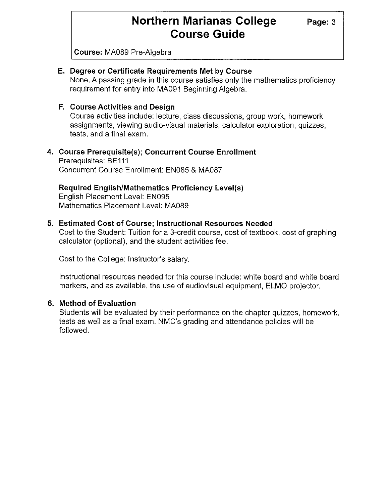**Course:** MA089 Pre-Algebra

### **E. Degree or Certificate Requirements Met by Course**

None. A passing grade in this course satisfies only the mathematics proficiency requirement for entry into MA091 Beginning Algebra.

### **F. Course Activities and Design**

Course activities include: lecture, class discussions, group work, homework assignments, viewing audio-visual materials, calculator exploration, quizzes, tests, and a final exam.

#### **4. Course Prerequisite(s); Concurrent Course Enrollment**  Prerequisites: BE 111 Concurrent Course Enrollment: EN085 & MA087

### **Required English/Mathematics Proficiency Level(s)**

English Placement Level: EN095 Mathematics Placement Level: MA089

#### **5. Estimated Cost of Course; Instructional Resources Needed**

Cost to the Student: Tuition for a 3-credit course, cost of textbook, cost of graphing calculator (optional), and the student activities fee.

Cost to the College: Instructor's salary.

Instructional resources needed for this course include: white board and white board markers, and as available, the use of audiovisual equipment, ELMO projector.

#### **6. Method of Evaluation**

Students will be evaluated by their performance on the chapter quizzes, homework, tests as well as a final exam. NMC's grading and attendance policies will be followed.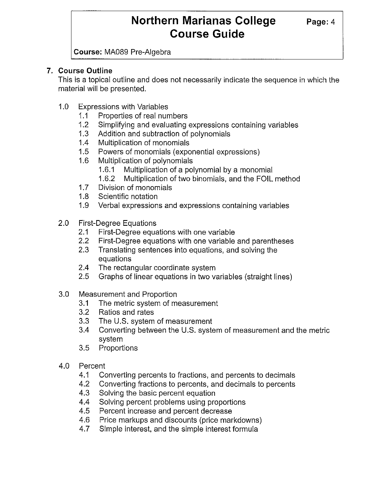**Course:** MA089 Pre-Algebra

## **7. Course Outline**

This is a topical outline and does not necessarily indicate the sequence in which the material will be presented.

- 1.0 Expressions with Variables
	- 1.1 Properties of real numbers
	- 1.2 Simplifying and evaluating expressions containing variables
	- 1.3 Addition and subtraction of polynomials
	- 1.4 Multiplication of monomials
	- 1.5 Powers of monomials ( exponential expressions)
	- 1.6 Multiplication of polynomials
		- 1.6.1 Multiplication of a polynomial by a monomial
		- 1.6.2 Multiplication of two binomials, and the FOIL method
	- 1.7 Division of monomials
	- 1.8 Scientific notation
	- 1.9 Verbal expressions and expressions containing variables
- 2.0 First-Degree Equations
	- 2.1 First-Degree equations with one variable
	- 2.2 First-Degree equations with one variable and parentheses
	- 2.3 Translating sentences into equations, and solving the equations
	- 2.4 The rectangular coordinate system
	- 2.5 Graphs of linear equations in two variables (straight lines)
- 3.0 Measurement and Proportion
	- 3.1 The metric system of measurement
	- 3.2 Ratios and rates
	- 3.3 The U.S. system of measurement
	- 3.4 Converting between the U.S. system of measurement and the metric system
	- 3.5 Proportions
- 4.0 Percent
	- 4.1 Converting percents to fractions, and percents to decimals
	- 4.2 Converting fractions to percents, and decimals to percents
	- 4.3 Solving the basic percent equation
	- 4.4 Solving percent problems using proportions
	- 4.5 Percent increase and percent decrease
	- 4.6 Price markups and discounts (price markdowns)
	- 4.7 Simple interest, and the simple interest formula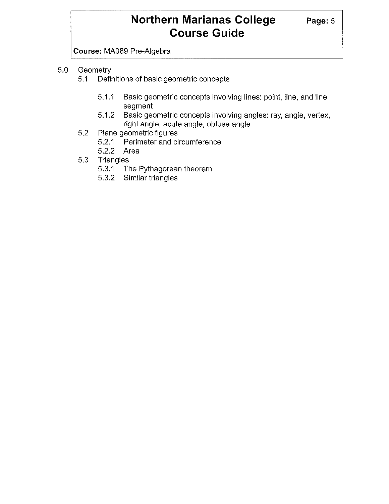**Course:** MA089 Pre-Algebra

- 5.0 Geometry
	- 5.1 Definitions of basic geometric concepts
		- 5.1.1 Basic geometric concepts involving lines: point, line, and line segment
		- 5.1.2 Basic geometric concepts involving angles: ray, angle, vertex, right angle, acute angle, obtuse angle
	- 5.2 Plane geometric figures
		- 5.2.1 Perimeter and circumference
		- 5.2.2 Area
	- 5.3 Triangles
		- 5.3.1 The Pythagorean theorem
		- 5.3.2 Similar triangles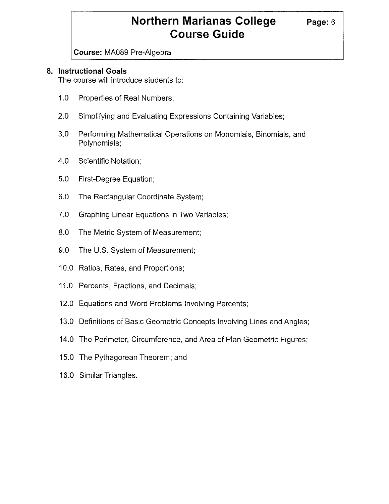**Course:** MA089 Pre-Algebra

## **8. Instructional Goals**

The course will introduce students to:

- 1.0 Properties of Real Numbers;
- 2.0 Simplifying and Evaluating Expressions Containing Variables;
- 3.0 Performing Mathematical Operations on Monomials, Binomials, and Polynomials;
- 4.0 Scientific Notation;
- 5.0 First-Degree Equation;
- 6.0 The Rectangular Coordinate System;
- 7.0 Graphing Linear Equations in Two Variables;
- 8.0 The Metric System of Measurement;
- 9.0 The U.S. System of Measurement;
- 10.0 Ratios, Rates, and Proportions;
- 11.0 Percents, Fractions, and Decimals;
- 12.0 Equations and Word Problems Involving Percents;
- 13.0 Definitions of Basic Geometric Concepts Involving Lines and Angles;
- 14.0 The Perimeter, Circumference, and Area of Plan Geometric Figures;
- 15.0 The Pythagorean Theorem; and
- 16.0 Similar Triangles.